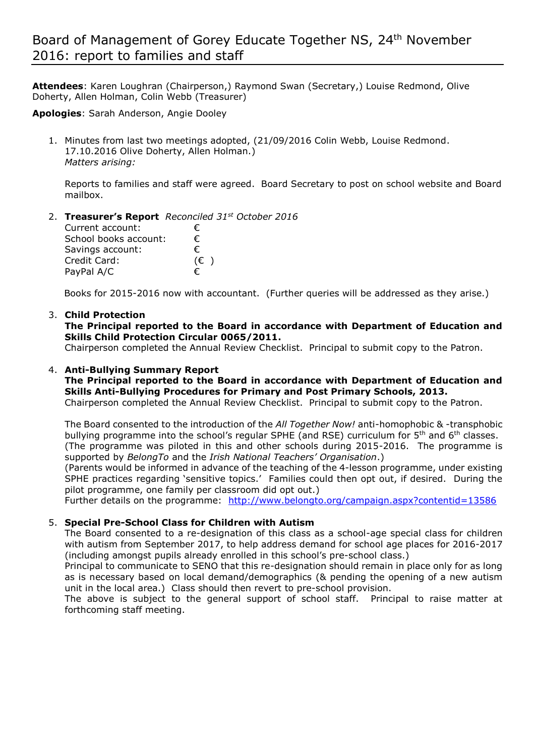**Attendees**: Karen Loughran (Chairperson,) Raymond Swan (Secretary,) Louise Redmond, Olive Doherty, Allen Holman, Colin Webb (Treasurer)

**Apologies**: Sarah Anderson, Angie Dooley

1. Minutes from last two meetings adopted, (21/09/2016 Colin Webb, Louise Redmond. 17.10.2016 Olive Doherty, Allen Holman.) *Matters arising:*

Reports to families and staff were agreed. Board Secretary to post on school website and Board mailbox.

2. **Treasurer's Report** *Reconciled 31st October 2016* Current account: € School books account:  $€$ Savings account: € Credit Card: (€ )

Books for 2015-2016 now with accountant. (Further queries will be addressed as they arise.)

## 3. **Child Protection**

**The Principal reported to the Board in accordance with Department of Education and Skills Child Protection Circular 0065/2011.**

Chairperson completed the Annual Review Checklist. Principal to submit copy to the Patron.

### 4. **Anti-Bullying Summary Report**

PayPal A/C  $\epsilon$ 

**The Principal reported to the Board in accordance with Department of Education and Skills Anti-Bullying Procedures for Primary and Post Primary Schools, 2013.** 

Chairperson completed the Annual Review Checklist. Principal to submit copy to the Patron.

The Board consented to the introduction of the *All Together Now!* anti-homophobic & -transphobic bullying programme into the school's regular SPHE (and RSE) curriculum for  $5<sup>th</sup>$  and  $6<sup>th</sup>$  classes. (The programme was piloted in this and other schools during 2015-2016. The programme is supported by *BelongTo* and the *Irish National Teachers' Organisation*.)

(Parents would be informed in advance of the teaching of the 4-lesson programme, under existing SPHE practices regarding 'sensitive topics.' Families could then opt out, if desired. During the pilot programme, one family per classroom did opt out.)

Further details on the programme: <http://www.belongto.org/campaign.aspx?contentid=13586>

## 5. **Special Pre-School Class for Children with Autism**

The Board consented to a re-designation of this class as a school-age special class for children with autism from September 2017, to help address demand for school age places for 2016-2017 (including amongst pupils already enrolled in this school's pre-school class.)

Principal to communicate to SENO that this re-designation should remain in place only for as long as is necessary based on local demand/demographics (& pending the opening of a new autism unit in the local area.) Class should then revert to pre-school provision.

The above is subject to the general support of school staff. Principal to raise matter at forthcoming staff meeting.